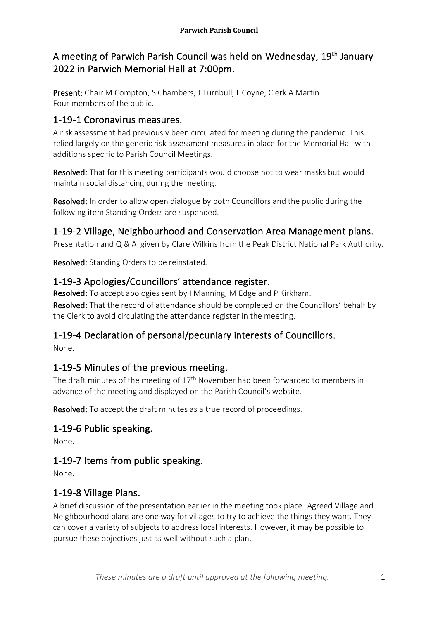# A meeting of Parwich Parish Council was held on Wednesday, 19<sup>th</sup> January 2022 in Parwich Memorial Hall at 7:00pm.

Present: Chair M Compton, S Chambers, J Turnbull, L Coyne, Clerk A Martin. Four members of the public.

## 1-19-1 Coronavirus measures.

A risk assessment had previously been circulated for meeting during the pandemic. This relied largely on the generic risk assessment measures in place for the Memorial Hall with additions specific to Parish Council Meetings.

Resolved: That for this meeting participants would choose not to wear masks but would maintain social distancing during the meeting.

Resolved: In order to allow open dialogue by both Councillors and the public during the following item Standing Orders are suspended.

## 1-19-2 Village, Neighbourhood and Conservation Area Management plans.

Presentation and Q & A given by Clare Wilkins from the Peak District National Park Authority.

Resolved: Standing Orders to be reinstated.

## 1-19-3 Apologies/Councillors' attendance register.

Resolved: To accept apologies sent by I Manning, M Edge and P Kirkham. Resolved: That the record of attendance should be completed on the Councillors' behalf by the Clerk to avoid circulating the attendance register in the meeting.

# 1-19-4 Declaration of personal/pecuniary interests of Councillors.

None.

# 1-19-5 Minutes of the previous meeting.

The draft minutes of the meeting of 17<sup>th</sup> November had been forwarded to members in advance of the meeting and displayed on the Parish Council's website.

Resolved: To accept the draft minutes as a true record of proceedings.

# 1-19-6 Public speaking.

None.

# 1-19-7 Items from public speaking.

None.

# 1-19-8 Village Plans.

A brief discussion of the presentation earlier in the meeting took place. Agreed Village and Neighbourhood plans are one way for villages to try to achieve the things they want. They can cover a variety of subjects to address local interests. However, it may be possible to pursue these objectives just as well without such a plan.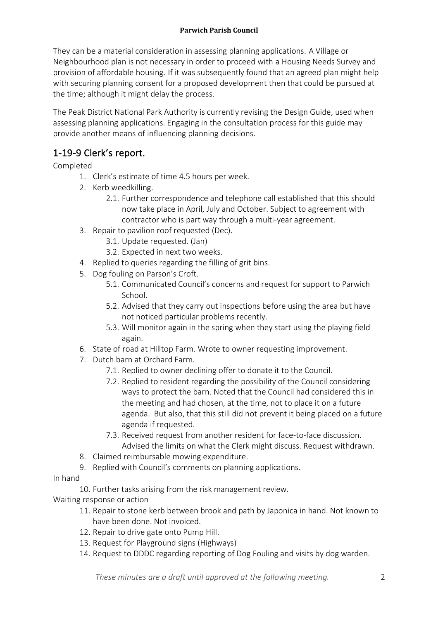#### **Parwich Parish Council**

They can be a material consideration in assessing planning applications. A Village or Neighbourhood plan is not necessary in order to proceed with a Housing Needs Survey and provision of affordable housing. If it was subsequently found that an agreed plan might help with securing planning consent for a proposed development then that could be pursued at the time; although it might delay the process.

The Peak District National Park Authority is currently revising the Design Guide, used when assessing planning applications. Engaging in the consultation process for this guide may provide another means of influencing planning decisions.

## 1-19-9 Clerk's report.

Completed

- 1. Clerk's estimate of time 4.5 hours per week.
- 2. Kerb weedkilling.
	- 2.1. Further correspondence and telephone call established that this should now take place in April, July and October. Subject to agreement with contractor who is part way through a multi-year agreement.
- 3. Repair to pavilion roof requested (Dec).
	- 3.1. Update requested. (Jan)
	- 3.2. Expected in next two weeks.
- 4. Replied to queries regarding the filling of grit bins.
- 5. Dog fouling on Parson's Croft.
	- 5.1. Communicated Council's concerns and request for support to Parwich School.
	- 5.2. Advised that they carry out inspections before using the area but have not noticed particular problems recently.
	- 5.3. Will monitor again in the spring when they start using the playing field again.
- 6. State of road at Hilltop Farm. Wrote to owner requesting improvement.
- 7. Dutch barn at Orchard Farm.
	- 7.1. Replied to owner declining offer to donate it to the Council.
	- 7.2. Replied to resident regarding the possibility of the Council considering ways to protect the barn. Noted that the Council had considered this in the meeting and had chosen, at the time, not to place it on a future agenda. But also, that this still did not prevent it being placed on a future agenda if requested.
	- 7.3. Received request from another resident for face-to-face discussion. Advised the limits on what the Clerk might discuss. Request withdrawn.
- 8. Claimed reimbursable mowing expenditure.
- 9. Replied with Council's comments on planning applications.

#### In hand

10. Further tasks arising from the risk management review.

Waiting response or action

- 11. Repair to stone kerb between brook and path by Japonica in hand. Not known to have been done. Not invoiced.
- 12. Repair to drive gate onto Pump Hill.
- 13. Request for Playground signs (Highways)
- 14. Request to DDDC regarding reporting of Dog Fouling and visits by dog warden.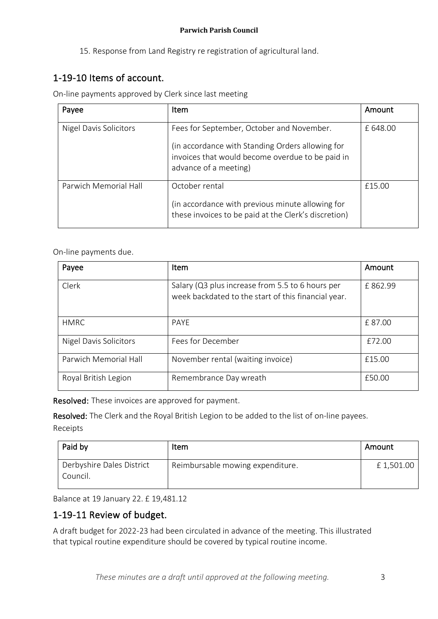15. Response from Land Registry re registration of agricultural land.

# 1-19-10 Items of account.

On-line payments approved by Clerk since last meeting

| Payee                  | Item                                                                                                                                                                       | Amount  |
|------------------------|----------------------------------------------------------------------------------------------------------------------------------------------------------------------------|---------|
| Nigel Davis Solicitors | Fees for September, October and November.<br>(in accordance with Standing Orders allowing for<br>invoices that would become overdue to be paid in<br>advance of a meeting) | £648.00 |
| Parwich Memorial Hall  | October rental<br>(in accordance with previous minute allowing for<br>these invoices to be paid at the Clerk's discretion)                                                 | £15.00  |

On-line payments due.

| Payee                         | Item                                                                                                    | Amount  |
|-------------------------------|---------------------------------------------------------------------------------------------------------|---------|
| Clerk                         | Salary (Q3 plus increase from 5.5 to 6 hours per<br>week backdated to the start of this financial year. | £862.99 |
| <b>HMRC</b>                   | <b>PAYE</b>                                                                                             | £87.00  |
| <b>Nigel Davis Solicitors</b> | Fees for December                                                                                       | £72.00  |
| Parwich Memorial Hall         | November rental (waiting invoice)                                                                       | £15.00  |
| Royal British Legion          | Remembrance Day wreath                                                                                  | £50.00  |

Resolved: These invoices are approved for payment.

Resolved: The Clerk and the Royal British Legion to be added to the list of on-line payees. Receipts

| Paid by                               | Item                             | l Amount  |
|---------------------------------------|----------------------------------|-----------|
| Derbyshire Dales District<br>Council. | Reimbursable mowing expenditure. | £1,501.00 |

Balance at 19 January 22. £ 19,481.12

# 1-19-11 Review of budget.

A draft budget for 2022-23 had been circulated in advance of the meeting. This illustrated that typical routine expenditure should be covered by typical routine income.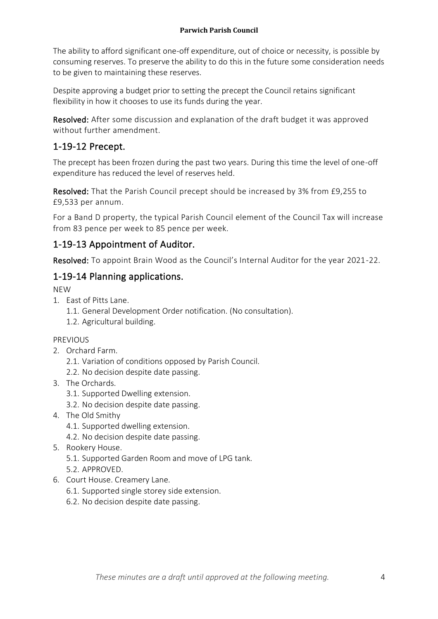The ability to afford significant one-off expenditure, out of choice or necessity, is possible by consuming reserves. To preserve the ability to do this in the future some consideration needs to be given to maintaining these reserves.

Despite approving a budget prior to setting the precept the Council retains significant flexibility in how it chooses to use its funds during the year.

Resolved: After some discussion and explanation of the draft budget it was approved without further amendment.

# 1-19-12 Precept.

The precept has been frozen during the past two years. During this time the level of one-off expenditure has reduced the level of reserves held.

Resolved: That the Parish Council precept should be increased by 3% from £9,255 to £9,533 per annum.

For a Band D property, the typical Parish Council element of the Council Tax will increase from 83 pence per week to 85 pence per week.

## 1-19-13 Appointment of Auditor.

Resolved: To appoint Brain Wood as the Council's Internal Auditor for the year 2021-22.

## 1-19-14 Planning applications.

NEW

- 1. East of Pitts Lane.
	- 1.1. General Development Order notification. (No consultation).
	- 1.2. Agricultural building.

#### PREVIOUS

- 2. Orchard Farm.
	- 2.1. Variation of conditions opposed by Parish Council.
	- 2.2. No decision despite date passing.
- 3. The Orchards.
	- 3.1. Supported Dwelling extension.
	- 3.2. No decision despite date passing.
- 4. The Old Smithy
	- 4.1. Supported dwelling extension.
	- 4.2. No decision despite date passing.
- 5. Rookery House.
	- 5.1. Supported Garden Room and move of LPG tank.
	- 5.2. APPROVED.
- 6. Court House. Creamery Lane.
	- 6.1. Supported single storey side extension.
	- 6.2. No decision despite date passing.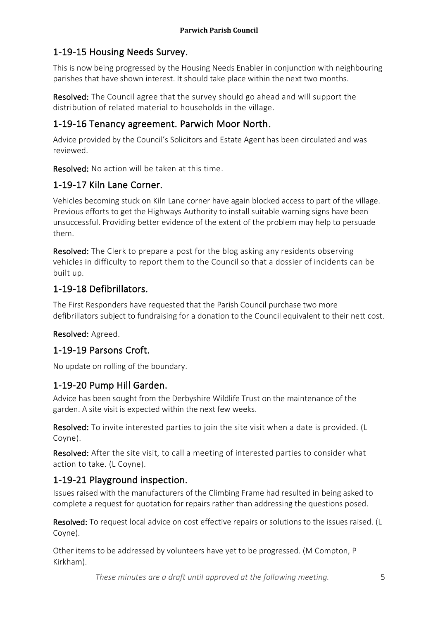## 1-19-15 Housing Needs Survey.

This is now being progressed by the Housing Needs Enabler in conjunction with neighbouring parishes that have shown interest. It should take place within the next two months.

Resolved: The Council agree that the survey should go ahead and will support the distribution of related material to households in the village.

## 1-19-16 Tenancy agreement. Parwich Moor North.

Advice provided by the Council's Solicitors and Estate Agent has been circulated and was reviewed.

Resolved: No action will be taken at this time.

## 1-19-17 Kiln Lane Corner.

Vehicles becoming stuck on Kiln Lane corner have again blocked access to part of the village. Previous efforts to get the Highways Authority to install suitable warning signs have been unsuccessful. Providing better evidence of the extent of the problem may help to persuade them.

Resolved: The Clerk to prepare a post for the blog asking any residents observing vehicles in difficulty to report them to the Council so that a dossier of incidents can be built up.

#### 1-19-18 Defibrillators.

The First Responders have requested that the Parish Council purchase two more defibrillators subject to fundraising for a donation to the Council equivalent to their nett cost.

#### Resolved: Agreed.

#### 1-19-19 Parsons Croft.

No update on rolling of the boundary.

#### 1-19-20 Pump Hill Garden.

Advice has been sought from the Derbyshire Wildlife Trust on the maintenance of the garden. A site visit is expected within the next few weeks.

Resolved: To invite interested parties to join the site visit when a date is provided. (L Coyne).

Resolved: After the site visit, to call a meeting of interested parties to consider what action to take. (L Coyne).

#### 1-19-21 Playground inspection.

Issues raised with the manufacturers of the Climbing Frame had resulted in being asked to complete a request for quotation for repairs rather than addressing the questions posed.

Resolved: To request local advice on cost effective repairs or solutions to the issues raised. (L Coyne).

Other items to be addressed by volunteers have yet to be progressed. (M Compton, P Kirkham).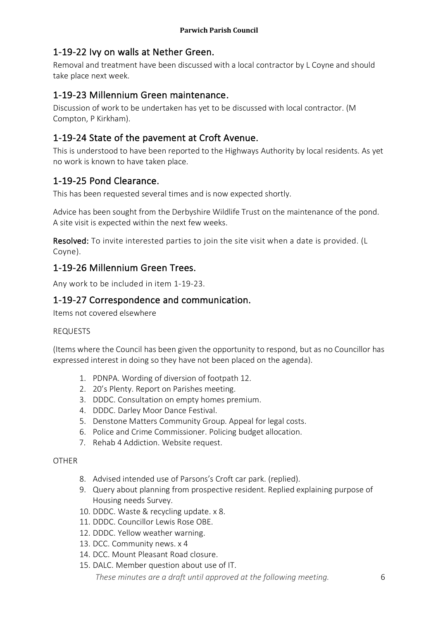## 1-19-22 Ivy on walls at Nether Green.

Removal and treatment have been discussed with a local contractor by L Coyne and should take place next week.

### 1-19-23 Millennium Green maintenance.

Discussion of work to be undertaken has yet to be discussed with local contractor. (M Compton, P Kirkham).

### 1-19-24 State of the pavement at Croft Avenue.

This is understood to have been reported to the Highways Authority by local residents. As yet no work is known to have taken place.

## 1-19-25 Pond Clearance.

This has been requested several times and is now expected shortly.

Advice has been sought from the Derbyshire Wildlife Trust on the maintenance of the pond. A site visit is expected within the next few weeks.

Resolved: To invite interested parties to join the site visit when a date is provided. (L Coyne).

#### 1-19-26 Millennium Green Trees.

Any work to be included in item 1-19-23.

#### 1-19-27 Correspondence and communication.

Items not covered elsewhere

#### REQUESTS

(Items where the Council has been given the opportunity to respond, but as no Councillor has expressed interest in doing so they have not been placed on the agenda).

- 1. PDNPA. Wording of diversion of footpath 12.
- 2. 20's Plenty. Report on Parishes meeting.
- 3. DDDC. Consultation on empty homes premium.
- 4. DDDC. Darley Moor Dance Festival.
- 5. Denstone Matters Community Group. Appeal for legal costs.
- 6. Police and Crime Commissioner. Policing budget allocation.
- 7. Rehab 4 Addiction. Website request.

#### **OTHER**

- 8. Advised intended use of Parsons's Croft car park. (replied).
- 9. Query about planning from prospective resident. Replied explaining purpose of Housing needs Survey.
- 10. DDDC. Waste & recycling update. x 8.
- 11. DDDC. Councillor Lewis Rose OBE.
- 12. DDDC. Yellow weather warning.
- 13. DCC. Community news. x 4
- 14. DCC. Mount Pleasant Road closure.
- 15. DALC. Member question about use of IT.